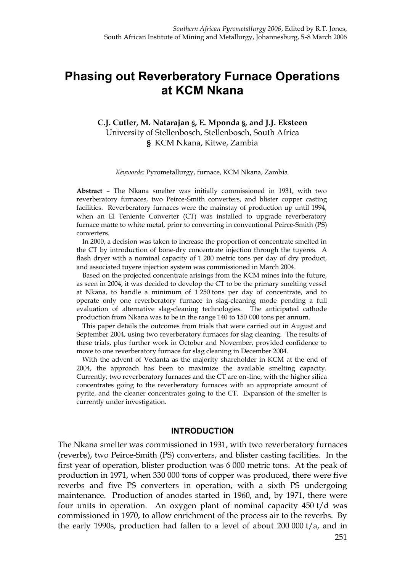# **Phasing out Reverberatory Furnace Operations at KCM Nkana**

#### **C.J. Cutler, M. Natarajan §, E. Mponda §, and J.J. Eksteen** University of Stellenbosch, Stellenbosch, South Africa **§** KCM Nkana, Kitwe, Zambia

*Keywords:* Pyrometallurgy, furnace, KCM Nkana, Zambia

**Abstract** – The Nkana smelter was initially commissioned in 1931, with two reverberatory furnaces, two Peirce-Smith converters, and blister copper casting facilities. Reverberatory furnaces were the mainstay of production up until 1994, when an El Teniente Converter (CT) was installed to upgrade reverberatory furnace matte to white metal, prior to converting in conventional Peirce-Smith (PS) converters.

In 2000, a decision was taken to increase the proportion of concentrate smelted in the CT by introduction of bone-dry concentrate injection through the tuyeres. A flash dryer with a nominal capacity of 1 200 metric tons per day of dry product, and associated tuyere injection system was commissioned in March 2004.

Based on the projected concentrate arisings from the KCM mines into the future, as seen in 2004, it was decided to develop the CT to be the primary smelting vessel at Nkana, to handle a minimum of 1 250 tons per day of concentrate, and to operate only one reverberatory furnace in slag-cleaning mode pending a full evaluation of alternative slag-cleaning technologies. The anticipated cathode production from Nkana was to be in the range 140 to 150 000 tons per annum.

This paper details the outcomes from trials that were carried out in August and September 2004, using two reverberatory furnaces for slag cleaning. The results of these trials, plus further work in October and November, provided confidence to move to one reverberatory furnace for slag cleaning in December 2004.

With the advent of Vedanta as the majority shareholder in KCM at the end of 2004, the approach has been to maximize the available smelting capacity. Currently, two reverberatory furnaces and the CT are on-line, with the higher silica concentrates going to the reverberatory furnaces with an appropriate amount of pyrite, and the cleaner concentrates going to the CT. Expansion of the smelter is currently under investigation.

#### **INTRODUCTION**

The Nkana smelter was commissioned in 1931, with two reverberatory furnaces (reverbs), two Peirce-Smith (PS) converters, and blister casting facilities. In the first year of operation, blister production was 6 000 metric tons. At the peak of production in 1971, when 330 000 tons of copper was produced, there were five reverbs and five PS converters in operation, with a sixth PS undergoing maintenance. Production of anodes started in 1960, and, by 1971, there were four units in operation. An oxygen plant of nominal capacity 450 t/d was commissioned in 1970, to allow enrichment of the process air to the reverbs. By the early 1990s, production had fallen to a level of about 200 000 t/a, and in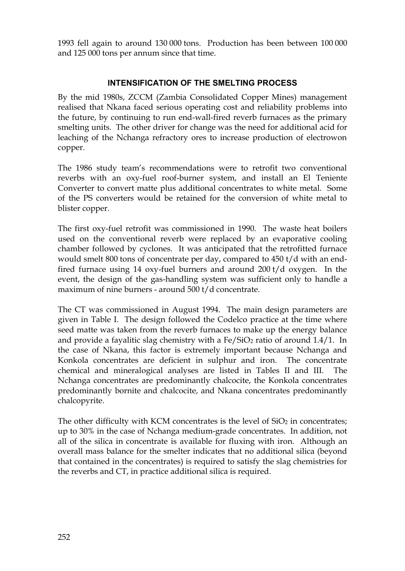1993 fell again to around 130 000 tons. Production has been between 100 000 and 125 000 tons per annum since that time.

# **INTENSIFICATION OF THE SMELTING PROCESS**

By the mid 1980s, ZCCM (Zambia Consolidated Copper Mines) management realised that Nkana faced serious operating cost and reliability problems into the future, by continuing to run end-wall-fired reverb furnaces as the primary smelting units. The other driver for change was the need for additional acid for leaching of the Nchanga refractory ores to increase production of electrowon copper.

The 1986 study team's recommendations were to retrofit two conventional reverbs with an oxy-fuel roof-burner system, and install an El Teniente Converter to convert matte plus additional concentrates to white metal. Some of the PS converters would be retained for the conversion of white metal to blister copper.

The first oxy-fuel retrofit was commissioned in 1990. The waste heat boilers used on the conventional reverb were replaced by an evaporative cooling chamber followed by cyclones. It was anticipated that the retrofitted furnace would smelt 800 tons of concentrate per day, compared to 450 t/d with an endfired furnace using 14 oxy-fuel burners and around 200 t/d oxygen. In the event, the design of the gas-handling system was sufficient only to handle a maximum of nine burners - around 500 t/d concentrate.

The CT was commissioned in August 1994. The main design parameters are given in Table I. The design followed the Codelco practice at the time where seed matte was taken from the reverb furnaces to make up the energy balance and provide a fayalitic slag chemistry with a  $Fe/SiO<sub>2</sub>$  ratio of around 1.4/1. In the case of Nkana, this factor is extremely important because Nchanga and Konkola concentrates are deficient in sulphur and iron. The concentrate chemical and mineralogical analyses are listed in Tables II and III. The Nchanga concentrates are predominantly chalcocite, the Konkola concentrates predominantly bornite and chalcocite, and Nkana concentrates predominantly chalcopyrite.

The other difficulty with KCM concentrates is the level of  $SiO<sub>2</sub>$  in concentrates; up to 30% in the case of Nchanga medium-grade concentrates. In addition, not all of the silica in concentrate is available for fluxing with iron. Although an overall mass balance for the smelter indicates that no additional silica (beyond that contained in the concentrates) is required to satisfy the slag chemistries for the reverbs and CT, in practice additional silica is required.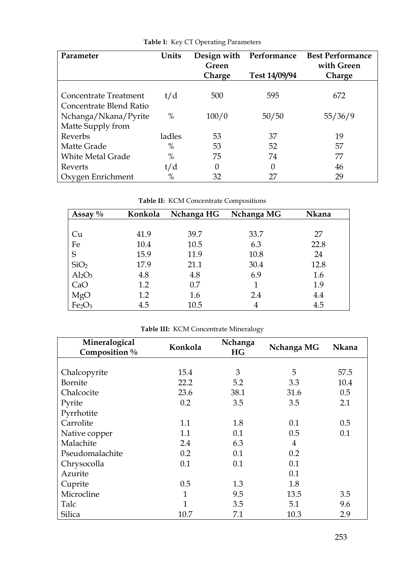| Parameter                | Units  | Performance<br>Design with<br>Green<br>Test 14/09/94<br>Charge |       | <b>Best Performance</b><br>with Green<br>Charge |
|--------------------------|--------|----------------------------------------------------------------|-------|-------------------------------------------------|
|                          |        |                                                                |       |                                                 |
| Concentrate Treatment    | t/d    | 500                                                            | 595   | 672                                             |
| Concentrate Blend Ratio  |        |                                                                |       |                                                 |
| Nchanga/Nkana/Pyrite     | $\%$   | 100/0                                                          | 50/50 | 55/36/9                                         |
| Matte Supply from        |        |                                                                |       |                                                 |
| Reverbs                  | ladles | 53                                                             | 37    | 19                                              |
| Matte Grade              | $\%$   | 53                                                             | 52    | 57                                              |
| <b>White Metal Grade</b> | $\%$   | 75                                                             | 74    | 77                                              |
| Reverts                  | t/d    | 0                                                              | 0     | 46                                              |
| Oxygen Enrichment        | $\%$   | 32                                                             | 27    | 29                                              |

**Table I:** Key CT Operating Parameters

**Table II:** KCM Concentrate Compositions

| $\frac{0}{0}$<br>Assay         | Konkola | Nchanga HG | Nchanga MG | Nkana |
|--------------------------------|---------|------------|------------|-------|
|                                |         |            |            |       |
| Cu                             | 41.9    | 39.7       | 33.7       | 27    |
| Fe                             | 10.4    | 10.5       | 6.3        | 22.8  |
| S                              | 15.9    | 11.9       | 10.8       | 24    |
| SiO <sub>2</sub>               | 17.9    | 21.1       | 30.4       | 12.8  |
| $Al_2O_3$                      | 4.8     | 4.8        | 6.9        | 1.6   |
| CaO                            | 1.2     | 0.7        |            | 1.9   |
| MgO                            | 1.2     | 1.6        | 2.4        | 4.4   |
| Fe <sub>2</sub> O <sub>3</sub> | 4.5     | 10.5       |            | 4.5   |

**Table III:** KCM Concentrate Mineralogy

| Mineralogical<br>Composition % | Konkola      | Nchanga<br>HG | Nchanga MG | <b>Nkana</b> |
|--------------------------------|--------------|---------------|------------|--------------|
|                                |              |               |            |              |
| Chalcopyrite                   | 15.4         | 3             | 5          | 57.5         |
| Bornite                        | 22.2         | 5.2           | 3.3        | 10.4         |
| Chalcocite                     | 23.6         | 38.1          | 31.6       | 0.5          |
| Pyrite                         | 0.2          | 3.5           | 3.5        | 2.1          |
| Pyrrhotite                     |              |               |            |              |
| Carrolite                      | 1.1          | 1.8           | 0.1        | 0.5          |
| Native copper                  | 1.1          | 0.1           | 0.5        | 0.1          |
| Malachite                      | 2.4          | 6.3           | 4          |              |
| Pseudomalachite                | 0.2          | 0.1           | 0.2        |              |
| Chrysocolla                    | 0.1          | 0.1           | 0.1        |              |
| Azurite                        |              |               | 0.1        |              |
| Cuprite                        | 0.5          | 1.3           | 1.8        |              |
| Microcline                     | $\mathbf{1}$ | 9.5           | 13.5       | 3.5          |
| Talc                           | 1            | 3.5           | 5.1        | 9.6          |
| Silica                         | 10.7         | 7.1           | 10.3       | 2.9          |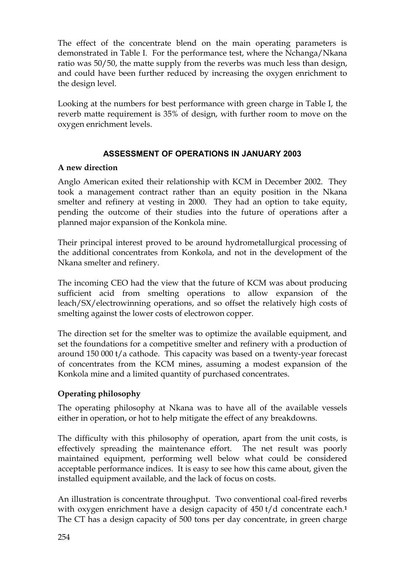The effect of the concentrate blend on the main operating parameters is demonstrated in Table I. For the performance test, where the Nchanga/Nkana ratio was 50/50, the matte supply from the reverbs was much less than design, and could have been further reduced by increasing the oxygen enrichment to the design level.

Looking at the numbers for best performance with green charge in Table I, the reverb matte requirement is 35% of design, with further room to move on the oxygen enrichment levels.

# **ASSESSMENT OF OPERATIONS IN JANUARY 2003**

# **A new direction**

Anglo American exited their relationship with KCM in December 2002. They took a management contract rather than an equity position in the Nkana smelter and refinery at vesting in 2000. They had an option to take equity, pending the outcome of their studies into the future of operations after a planned major expansion of the Konkola mine.

Their principal interest proved to be around hydrometallurgical processing of the additional concentrates from Konkola, and not in the development of the Nkana smelter and refinery.

The incoming CEO had the view that the future of KCM was about producing sufficient acid from smelting operations to allow expansion of the leach/SX/electrowinning operations, and so offset the relatively high costs of smelting against the lower costs of electrowon copper.

The direction set for the smelter was to optimize the available equipment, and set the foundations for a competitive smelter and refinery with a production of around 150 000 t/a cathode. This capacity was based on a twenty-year forecast of concentrates from the KCM mines, assuming a modest expansion of the Konkola mine and a limited quantity of purchased concentrates.

# **Operating philosophy**

The operating philosophy at Nkana was to have all of the available vessels either in operation, or hot to help mitigate the effect of any breakdowns.

The difficulty with this philosophy of operation, apart from the unit costs, is effectively spreading the maintenance effort. The net result was poorly maintained equipment, performing well below what could be considered acceptable performance indices. It is easy to see how this came about, given the installed equipment available, and the lack of focus on costs.

An illustration is concentrate throughput. Two conventional coal-fired reverbs with oxygen enrichment have a design capacity of 450 t/d concentrate each.**<sup>1</sup>** The CT has a design capacity of 500 tons per day concentrate, in green charge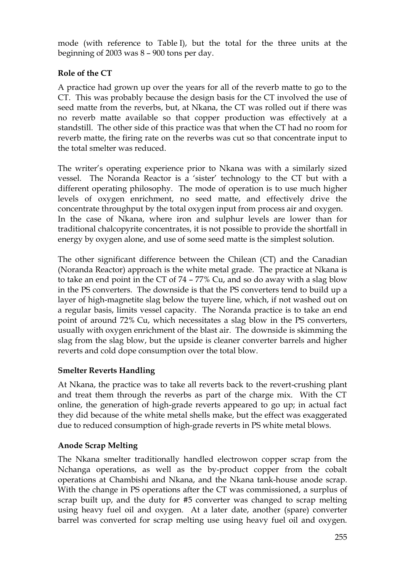mode (with reference to Table I), but the total for the three units at the beginning of 2003 was 8 – 900 tons per day.

# **Role of the CT**

A practice had grown up over the years for all of the reverb matte to go to the CT. This was probably because the design basis for the CT involved the use of seed matte from the reverbs, but, at Nkana, the CT was rolled out if there was no reverb matte available so that copper production was effectively at a standstill. The other side of this practice was that when the CT had no room for reverb matte, the firing rate on the reverbs was cut so that concentrate input to the total smelter was reduced.

The writer's operating experience prior to Nkana was with a similarly sized vessel. The Noranda Reactor is a 'sister' technology to the CT but with a different operating philosophy. The mode of operation is to use much higher levels of oxygen enrichment, no seed matte, and effectively drive the concentrate throughput by the total oxygen input from process air and oxygen. In the case of Nkana, where iron and sulphur levels are lower than for traditional chalcopyrite concentrates, it is not possible to provide the shortfall in energy by oxygen alone, and use of some seed matte is the simplest solution.

The other significant difference between the Chilean (CT) and the Canadian (Noranda Reactor) approach is the white metal grade. The practice at Nkana is to take an end point in the CT of 74 – 77% Cu, and so do away with a slag blow in the PS converters. The downside is that the PS converters tend to build up a layer of high-magnetite slag below the tuyere line, which, if not washed out on a regular basis, limits vessel capacity. The Noranda practice is to take an end point of around 72% Cu, which necessitates a slag blow in the PS converters, usually with oxygen enrichment of the blast air. The downside is skimming the slag from the slag blow, but the upside is cleaner converter barrels and higher reverts and cold dope consumption over the total blow.

# **Smelter Reverts Handling**

At Nkana, the practice was to take all reverts back to the revert-crushing plant and treat them through the reverbs as part of the charge mix. With the CT online, the generation of high-grade reverts appeared to go up; in actual fact they did because of the white metal shells make, but the effect was exaggerated due to reduced consumption of high-grade reverts in PS white metal blows.

# **Anode Scrap Melting**

The Nkana smelter traditionally handled electrowon copper scrap from the Nchanga operations, as well as the by-product copper from the cobalt operations at Chambishi and Nkana, and the Nkana tank-house anode scrap. With the change in PS operations after the CT was commissioned, a surplus of scrap built up, and the duty for #5 converter was changed to scrap melting using heavy fuel oil and oxygen. At a later date, another (spare) converter barrel was converted for scrap melting use using heavy fuel oil and oxygen.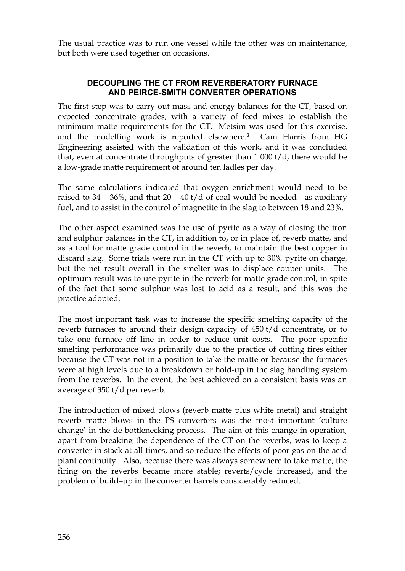The usual practice was to run one vessel while the other was on maintenance, but both were used together on occasions.

### **DECOUPLING THE CT FROM REVERBERATORY FURNACE AND PEIRCE-SMITH CONVERTER OPERATIONS**

The first step was to carry out mass and energy balances for the CT, based on expected concentrate grades, with a variety of feed mixes to establish the minimum matte requirements for the CT. Metsim was used for this exercise, and the modelling work is reported elsewhere.**2** Cam Harris from HG Engineering assisted with the validation of this work, and it was concluded that, even at concentrate throughputs of greater than 1 000 t/d, there would be a low-grade matte requirement of around ten ladles per day.

The same calculations indicated that oxygen enrichment would need to be raised to  $34 - 36$ %, and that  $20 - 40$  t/d of coal would be needed - as auxiliary fuel, and to assist in the control of magnetite in the slag to between 18 and 23%.

The other aspect examined was the use of pyrite as a way of closing the iron and sulphur balances in the CT, in addition to, or in place of, reverb matte, and as a tool for matte grade control in the reverb, to maintain the best copper in discard slag. Some trials were run in the CT with up to 30% pyrite on charge, but the net result overall in the smelter was to displace copper units. The optimum result was to use pyrite in the reverb for matte grade control, in spite of the fact that some sulphur was lost to acid as a result, and this was the practice adopted.

The most important task was to increase the specific smelting capacity of the reverb furnaces to around their design capacity of 450 t/d concentrate, or to take one furnace off line in order to reduce unit costs. The poor specific smelting performance was primarily due to the practice of cutting fires either because the CT was not in a position to take the matte or because the furnaces were at high levels due to a breakdown or hold-up in the slag handling system from the reverbs. In the event, the best achieved on a consistent basis was an average of 350 t/d per reverb.

The introduction of mixed blows (reverb matte plus white metal) and straight reverb matte blows in the PS converters was the most important 'culture change' in the de-bottlenecking process. The aim of this change in operation, apart from breaking the dependence of the CT on the reverbs, was to keep a converter in stack at all times, and so reduce the effects of poor gas on the acid plant continuity. Also, because there was always somewhere to take matte, the firing on the reverbs became more stable; reverts/cycle increased, and the problem of build–up in the converter barrels considerably reduced.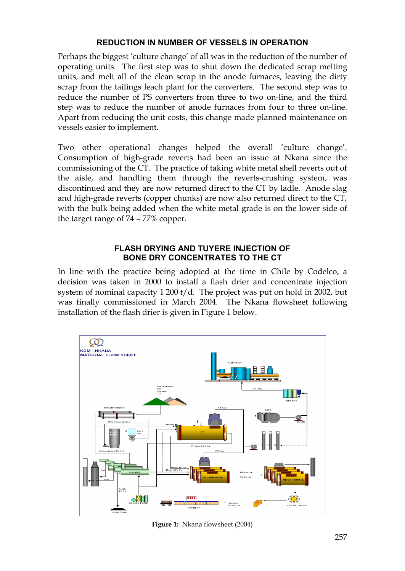### **REDUCTION IN NUMBER OF VESSELS IN OPERATION**

Perhaps the biggest 'culture change' of all was in the reduction of the number of operating units. The first step was to shut down the dedicated scrap melting units, and melt all of the clean scrap in the anode furnaces, leaving the dirty scrap from the tailings leach plant for the converters. The second step was to reduce the number of PS converters from three to two on-line, and the third step was to reduce the number of anode furnaces from four to three on-line. Apart from reducing the unit costs, this change made planned maintenance on vessels easier to implement.

Two other operational changes helped the overall 'culture change'. Consumption of high-grade reverts had been an issue at Nkana since the commissioning of the CT. The practice of taking white metal shell reverts out of the aisle, and handling them through the reverts-crushing system, was discontinued and they are now returned direct to the CT by ladle. Anode slag and high-grade reverts (copper chunks) are now also returned direct to the CT, with the bulk being added when the white metal grade is on the lower side of the target range of 74 – 77% copper.

#### **FLASH DRYING AND TUYERE INJECTION OF BONE DRY CONCENTRATES TO THE CT**

In line with the practice being adopted at the time in Chile by Codelco, a decision was taken in 2000 to install a flash drier and concentrate injection system of nominal capacity 1 200 t/d. The project was put on hold in 2002, but was finally commissioned in March 2004. The Nkana flowsheet following installation of the flash drier is given in Figure 1 below.



**Figure 1:** Nkana flowsheet (2004)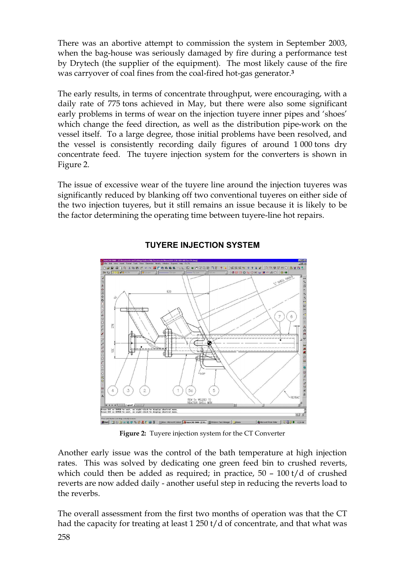There was an abortive attempt to commission the system in September 2003, when the bag-house was seriously damaged by fire during a performance test by Drytech (the supplier of the equipment). The most likely cause of the fire was carryover of coal fines from the coal-fired hot-gas generator.**<sup>3</sup>**

The early results, in terms of concentrate throughput, were encouraging, with a daily rate of 775 tons achieved in May, but there were also some significant early problems in terms of wear on the injection tuyere inner pipes and 'shoes' which change the feed direction, as well as the distribution pipe-work on the vessel itself. To a large degree, those initial problems have been resolved, and the vessel is consistently recording daily figures of around 1 000 tons dry concentrate feed. The tuyere injection system for the converters is shown in Figure 2.

The issue of excessive wear of the tuyere line around the injection tuyeres was significantly reduced by blanking off two conventional tuyeres on either side of the two injection tuyeres, but it still remains an issue because it is likely to be the factor determining the operating time between tuyere-line hot repairs.



# **TUYERE INJECTION SYSTEM**

**Figure 2:** Tuyere injection system for the CT Converter

Another early issue was the control of the bath temperature at high injection rates. This was solved by dedicating one green feed bin to crushed reverts, which could then be added as required; in practice,  $50 - 100$  t/d of crushed reverts are now added daily - another useful step in reducing the reverts load to the reverbs.

The overall assessment from the first two months of operation was that the CT had the capacity for treating at least 1 250 t/d of concentrate, and that what was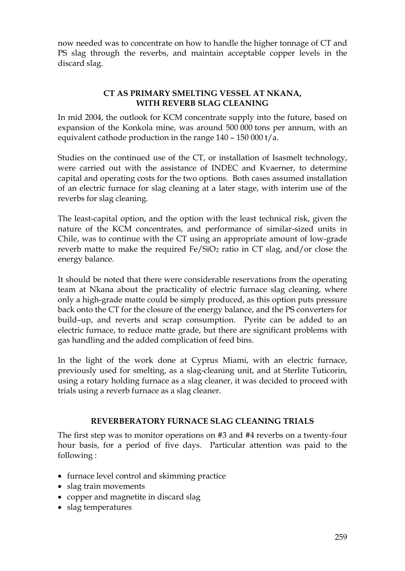now needed was to concentrate on how to handle the higher tonnage of CT and PS slag through the reverbs, and maintain acceptable copper levels in the discard slag.

### **CT AS PRIMARY SMELTING VESSEL AT NKANA, WITH REVERB SLAG CLEANING**

In mid 2004, the outlook for KCM concentrate supply into the future, based on expansion of the Konkola mine, was around 500 000 tons per annum, with an equivalent cathode production in the range 140 – 150 000 t/a.

Studies on the continued use of the CT, or installation of Isasmelt technology, were carried out with the assistance of INDEC and Kvaerner, to determine capital and operating costs for the two options. Both cases assumed installation of an electric furnace for slag cleaning at a later stage, with interim use of the reverbs for slag cleaning.

The least-capital option, and the option with the least technical risk, given the nature of the KCM concentrates, and performance of similar-sized units in Chile, was to continue with the CT using an appropriate amount of low-grade reverb matte to make the required  $Fe/SiO<sub>2</sub>$  ratio in CT slag, and/or close the energy balance.

It should be noted that there were considerable reservations from the operating team at Nkana about the practicality of electric furnace slag cleaning, where only a high-grade matte could be simply produced, as this option puts pressure back onto the CT for the closure of the energy balance, and the PS converters for build–up, and reverts and scrap consumption. Pyrite can be added to an electric furnace, to reduce matte grade, but there are significant problems with gas handling and the added complication of feed bins.

In the light of the work done at Cyprus Miami, with an electric furnace, previously used for smelting, as a slag-cleaning unit, and at Sterlite Tuticorin, using a rotary holding furnace as a slag cleaner, it was decided to proceed with trials using a reverb furnace as a slag cleaner.

# **REVERBERATORY FURNACE SLAG CLEANING TRIALS**

The first step was to monitor operations on #3 and #4 reverbs on a twenty-four hour basis, for a period of five days. Particular attention was paid to the following :

- · furnace level control and skimming practice
- slag train movements
- · copper and magnetite in discard slag
- · slag temperatures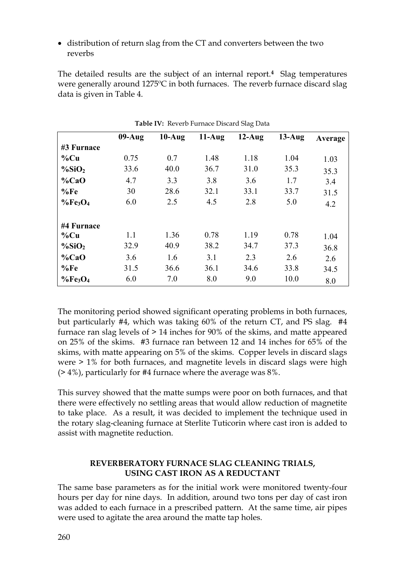· distribution of return slag from the CT and converters between the two reverbs

The detailed results are the subject of an internal report.**4** Slag temperatures were generally around 1275ºC in both furnaces. The reverb furnace discard slag data is given in Table 4.

|                       | $09-Aug$ | $10-Aug$ | $11-Aug$ | $12-Aug$ | $13-Aug$ | Average |
|-----------------------|----------|----------|----------|----------|----------|---------|
| #3 Furnace            |          |          |          |          |          |         |
| $\%$ Cu               | 0.75     | 0.7      | 1.48     | 1.18     | 1.04     | 1.03    |
| $\%$ SiO <sub>2</sub> | 33.6     | 40.0     | 36.7     | 31.0     | 35.3     | 35.3    |
| $\%CaO$               | 4.7      | 3.3      | 3.8      | 3.6      | 1.7      | 3.4     |
| %Fe                   | 30       | 28.6     | 32.1     | 33.1     | 33.7     | 31.5    |
| $\%Fe3O4$             | 6.0      | 2.5      | 4.5      | 2.8      | 5.0      | 4.2     |
| #4 Furnace            |          |          |          |          |          |         |
| $\%$ Cu               | 1.1      | 1.36     | 0.78     | 1.19     | 0.78     | 1.04    |
| $\%$ SiO <sub>2</sub> | 32.9     | 40.9     | 38.2     | 34.7     | 37.3     | 36.8    |
| $\%CaO$               | 3.6      | 1.6      | 3.1      | 2.3      | 2.6      | 2.6     |
| %Fe                   | 31.5     | 36.6     | 36.1     | 34.6     | 33.8     | 34.5    |
| $\%Fe3O4$             | 6.0      | 7.0      | 8.0      | 9.0      | 10.0     | 8.0     |

**Table IV:** Reverb Furnace Discard Slag Data

The monitoring period showed significant operating problems in both furnaces, but particularly #4, which was taking 60% of the return CT, and PS slag. #4 furnace ran slag levels of > 14 inches for 90% of the skims, and matte appeared on 25% of the skims. #3 furnace ran between 12 and 14 inches for 65% of the skims, with matte appearing on 5% of the skims. Copper levels in discard slags were > 1% for both furnaces, and magnetite levels in discard slags were high  $($ > 4%), particularly for #4 furnace where the average was 8%.

This survey showed that the matte sumps were poor on both furnaces, and that there were effectively no settling areas that would allow reduction of magnetite to take place. As a result, it was decided to implement the technique used in the rotary slag-cleaning furnace at Sterlite Tuticorin where cast iron is added to assist with magnetite reduction.

### **REVERBERATORY FURNACE SLAG CLEANING TRIALS, USING CAST IRON AS A REDUCTANT**

The same base parameters as for the initial work were monitored twenty-four hours per day for nine days. In addition, around two tons per day of cast iron was added to each furnace in a prescribed pattern. At the same time, air pipes were used to agitate the area around the matte tap holes.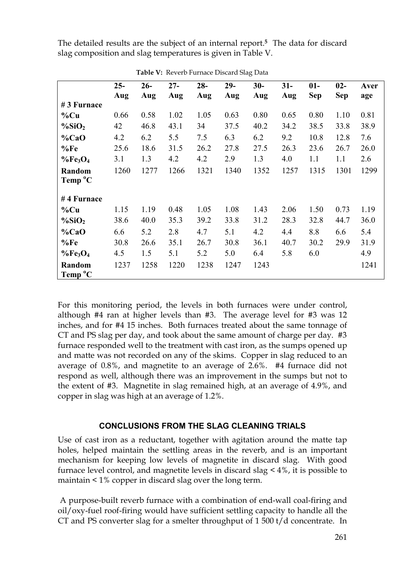The detailed results are the subject of an internal report.**5** The data for discard slag composition and slag temperatures is given in Table V.

|                       | $25 -$ | $26 -$ | $27 -$ | $28 -$ | $29-$ | $30-$ | $31-$ | $01-$<br><b>Sep</b> | $02-$<br>Sep | Aver |
|-----------------------|--------|--------|--------|--------|-------|-------|-------|---------------------|--------------|------|
| #3 Furnace            | Aug    | Aug    | Aug    | Aug    | Aug   | Aug   | Aug   |                     |              | age  |
| $%$ Cu                | 0.66   | 0.58   | 1.02   | 1.05   | 0.63  | 0.80  | 0.65  | 0.80                | 1.10         | 0.81 |
| $\%$ SiO <sub>2</sub> | 42     | 46.8   | 43.1   | 34     | 37.5  | 40.2  | 34.2  | 38.5                | 33.8         | 38.9 |
| $\%CaO$               | 4.2    | 6.2    | 5.5    | 7.5    | 6.3   | 6.2   | 9.2   | 10.8                | 12.8         | 7.6  |
| %Fe                   | 25.6   | 18.6   | 31.5   | 26.2   | 27.8  | 27.5  | 26.3  | 23.6                | 26.7         | 26.0 |
| $\%Fe3O4$             | 3.1    | 1.3    | 4.2    | 4.2    | 2.9   | 1.3   | 4.0   | 1.1                 | 1.1          | 2.6  |
| Random                | 1260   | 1277   | 1266   | 1321   | 1340  | 1352  | 1257  | 1315                | 1301         | 1299 |
| Temp <sup>o</sup> C   |        |        |        |        |       |       |       |                     |              |      |
| #4 Furnace            |        |        |        |        |       |       |       |                     |              |      |
| $%$ Cu                | 1.15   | 1.19   | 0.48   | 1.05   | 1.08  | 1.43  | 2.06  | 1.50                | 0.73         | 1.19 |
| $\%$ SiO <sub>2</sub> | 38.6   | 40.0   | 35.3   | 39.2   | 33.8  | 31.2  | 28.3  | 32.8                | 44.7         | 36.0 |
| $\%CaO$               | 6.6    | 5.2    | 2.8    | 4.7    | 5.1   | 4.2   | 4.4   | 8.8                 | 6.6          | 5.4  |
| %Fe                   | 30.8   | 26.6   | 35.1   | 26.7   | 30.8  | 36.1  | 40.7  | 30.2                | 29.9         | 31.9 |
| $\%Fe3O4$             | 4.5    | 1.5    | 5.1    | 5.2    | 5.0   | 6.4   | 5.8   | 6.0                 |              | 4.9  |
| Random                | 1237   | 1258   | 1220   | 1238   | 1247  | 1243  |       |                     |              | 1241 |
| Temp <sup>o</sup> C   |        |        |        |        |       |       |       |                     |              |      |

**Table V:** Reverb Furnace Discard Slag Data

For this monitoring period, the levels in both furnaces were under control, although #4 ran at higher levels than #3. The average level for #3 was 12 inches, and for #4 15 inches. Both furnaces treated about the same tonnage of CT and PS slag per day, and took about the same amount of charge per day. #3 furnace responded well to the treatment with cast iron, as the sumps opened up and matte was not recorded on any of the skims. Copper in slag reduced to an average of 0.8%, and magnetite to an average of 2.6%. #4 furnace did not respond as well, although there was an improvement in the sumps but not to the extent of #3. Magnetite in slag remained high, at an average of 4.9%, and copper in slag was high at an average of 1.2%.

# **CONCLUSIONS FROM THE SLAG CLEANING TRIALS**

Use of cast iron as a reductant, together with agitation around the matte tap holes, helped maintain the settling areas in the reverb, and is an important mechanism for keeping low levels of magnetite in discard slag. With good furnace level control, and magnetite levels in discard slag < 4%, it is possible to maintain < 1% copper in discard slag over the long term.

 A purpose-built reverb furnace with a combination of end-wall coal-firing and oil/oxy-fuel roof-firing would have sufficient settling capacity to handle all the CT and PS converter slag for a smelter throughput of 1 500 t/d concentrate. In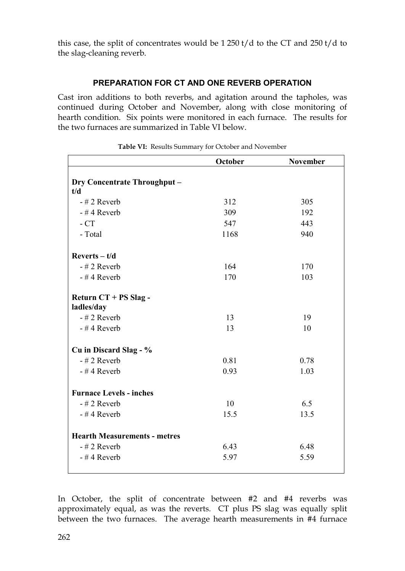this case, the split of concentrates would be  $1250$  t/d to the CT and  $250$  t/d to the slag-cleaning reverb.

# **PREPARATION FOR CT AND ONE REVERB OPERATION**

Cast iron additions to both reverbs, and agitation around the tapholes, was continued during October and November, along with close monitoring of hearth condition. Six points were monitored in each furnace. The results for the two furnaces are summarized in Table VI below.

|                                     | October | <b>November</b> |
|-------------------------------------|---------|-----------------|
|                                     |         |                 |
| <b>Dry Concentrate Throughput -</b> |         |                 |
| t/d                                 |         |                 |
| $-$ # 2 Reverb                      | 312     | 305             |
| $-$ #4 Reverb                       | 309     | 192             |
| $-CT$                               | 547     | 443             |
| - Total                             | 1168    | 940             |
| $Reverts - t/d$                     |         |                 |
| $-$ # 2 Reverb                      | 164     | 170             |
| $-$ #4 Reverb                       | 170     | 103             |
| Return CT + PS Slag -               |         |                 |
| ladles/day                          |         |                 |
| $-$ # 2 Reverb                      | 13      | 19              |
| $-$ #4 Reverb                       | 13      | 10              |
| Cu in Discard Slag - %              |         |                 |
| $-$ # 2 Reverb                      | 0.81    | 0.78            |
| $-$ #4 Reverb                       | 0.93    | 1.03            |
| <b>Furnace Levels - inches</b>      |         |                 |
| $-$ # 2 Reverb                      | 10      | 6.5             |
| $-$ #4 Reverb                       | 15.5    | 13.5            |
| <b>Hearth Measurements - metres</b> |         |                 |
| $-$ # 2 Reverb                      | 6.43    | 6.48            |
|                                     |         |                 |
| $-$ #4 Reverb                       | 5.97    | 5.59            |

| Table VI: Results Summary for October and November |
|----------------------------------------------------|
|                                                    |

In October, the split of concentrate between #2 and #4 reverbs was approximately equal, as was the reverts. CT plus PS slag was equally split between the two furnaces. The average hearth measurements in #4 furnace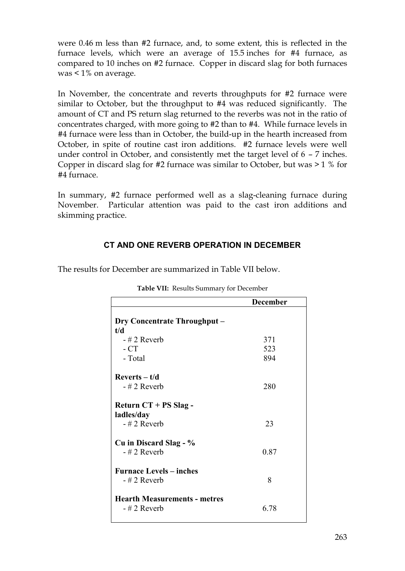were 0.46 m less than #2 furnace, and, to some extent, this is reflected in the furnace levels, which were an average of 15.5 inches for #4 furnace, as compared to 10 inches on #2 furnace. Copper in discard slag for both furnaces was < 1% on average.

In November, the concentrate and reverts throughputs for #2 furnace were similar to October, but the throughput to #4 was reduced significantly. The amount of CT and PS return slag returned to the reverbs was not in the ratio of concentrates charged, with more going to #2 than to #4. While furnace levels in #4 furnace were less than in October, the build-up in the hearth increased from October, in spite of routine cast iron additions. #2 furnace levels were well under control in October, and consistently met the target level of 6 – 7 inches. Copper in discard slag for #2 furnace was similar to October, but was > 1 % for #4 furnace.

In summary, #2 furnace performed well as a slag-cleaning furnace during November. Particular attention was paid to the cast iron additions and skimming practice.

# **CT AND ONE REVERB OPERATION IN DECEMBER**

|  | The results for December are summarized in Table VII below. |
|--|-------------------------------------------------------------|
|--|-------------------------------------------------------------|

|                                     | <b>December</b> |
|-------------------------------------|-----------------|
|                                     |                 |
| <b>Dry Concentrate Throughput –</b> |                 |
| t/d                                 |                 |
| $-$ # 2 Reverb                      | 371             |
| $-CT$                               | 523             |
| - Total                             | 894             |
| $Reverts - t/d$                     |                 |
| $-$ # 2 Reverb                      | 280             |
| Return CT + PS Slag -               |                 |
| ladles/day                          |                 |
| $-$ # 2 Reverb                      | 23              |
| Cu in Discard Slag - %              |                 |
| $-$ # 2 Reverb                      | 0.87            |
| <b>Furnace Levels – inches</b>      |                 |
| $-$ # 2 Reverb                      | 8               |
| <b>Hearth Measurements - metres</b> |                 |
| - # 2 Reverb                        | 6.78            |
|                                     |                 |

**Table VII:** Results Summary for December